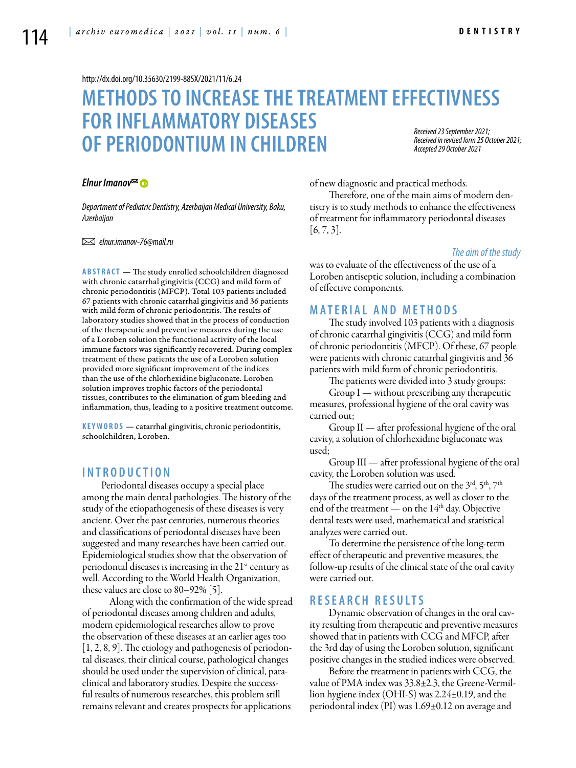#### <http://dx.doi.org/10.35630/2199-885X/2021/11/6.24>

### **METHODSTO INCREASETHETREATMENTEFFECTIVNESS FOR INFLAMMATORY DISEASES OF PERIODONTIUM IN CHILDREN** *Received 23 September 2021; Received in revised form 25 October 2021; Accepted 29 October 2021*

*[Elnur Imanov](https://orcid.org/0000-0003-4143-908X)*

*Department of Pediatric Dentistry, Azerbaijan Medical University, Baku, Azerbaijan*

 *elnur.imanov-76@mail.ru* 

ABSTRACT — The study enrolled schoolchildren diagnosed with chronic catarrhal gingivitis (CCG) and mild form of chronic periodontitis (MFCP). Total 103 patients included 67 patients with chronic catarrhal gingivitis and 36 patients with mild form of chronic periodontitis. The results of laboratory studies showed that in the process of conduction of the therapeutic and preventive measures during the use of a Loroben solution the functional activity of the local immune factors was significantly recovered. During complex treatment of these patients the use of a Loroben solution provided more significant improvement of the indices than the use of the chlorhexidine bigluconate. Loroben solution improves trophic factors of the periodontal tissues, contributes to the elimination of gum bleeding and inflammation, thus, leading to a positive treatment outcome.

**KEYWORDS** — catarrhal gingivitis, chronic periodontitis, schoolchildren, Loroben.

# **I n t r o d uct i o n**

Periodontal diseases occupy a special place among the main dental pathologies. The history of the study of the etiopathogenesis of these diseases is very ancient. Over the past centuries, numerous theories and classifications of periodontal diseases have been suggested and many researches have been carried out. Epidemiological studies show that the observation of periodontal diseases is increasing in the  $21<sup>st</sup>$  century as well. According to the World Health Organization, these values are close to 80–92% [5].

 Along with the confirmation of the wide spread of periodontal diseases among children and adults, modern epidemiological researches allow to prove the observation of these diseases at an earlier ages too [1, 2, 8, 9]. The etiology and pathogenesis of periodontal diseases, their clinical course, pathological changes should be used under the supervision of clinical, paraclinical and laboratory studies. Despite the successful results of numerous researches, this problem still remains relevant and creates prospects for applications

of new diagnostic and practical methods.

Therefore, one of the main aims of modern dentistry is to study methods to enhance the effectiveness of treatment for inflammatory periodontal diseases  $[6, 7, 3]$ .

#### *The aim of the study*

was to evaluate of the effectiveness of the use of a Loroben antiseptic solution, including a combination of effective components.

### **MATERIAL AND MET H ODS**

The study involved 103 patients with a diagnosis of chronic catarrhal gingivitis (CCG) and mild form of chronic periodontitis (MFCP). Of these, 67 people were patients with chronic catarrhal gingivitis and 36 patients with mild form of chronic periodontitis.

The patients were divided into 3 study groups:

Group I — without prescribing any therapeutic measures, professional hygiene of the oral cavity was carried out;

Group II — after professional hygiene of the oral cavity, a solution of chlorhexidine bigluconate was used;

Group III — after professional hygiene of the oral cavity, the Loroben solution was used.

The studies were carried out on the 3<sup>rd</sup>, 5<sup>th</sup>, 7<sup>th</sup> days of the treatment process, as well as closer to the end of the treatment — on the  $14<sup>th</sup>$  day. Objective dental tests were used, mathematical and statistical analyzes were carried out.

To determine the persistence of the long-term effect of therapeutic and preventive measures, the follow-up results of the clinical state of the oral cavity were carried out.

## **RESEAR C H RES U LTS**

Dynamic observation of changes in the oral cavity resulting from therapeutic and preventive measures showed that in patients with CCG and MFCP, after the 3rd day of using the Loroben solution, significant positive changes in the studied indices were observed.

Before the treatment in patients with CCG, the value of PMA index was 33.8±2.3, the Greene-Vermillion hygiene index (OHI-S) was 2.24±0.19, and the periodontal index (PI) was 1.69±0.12 on average and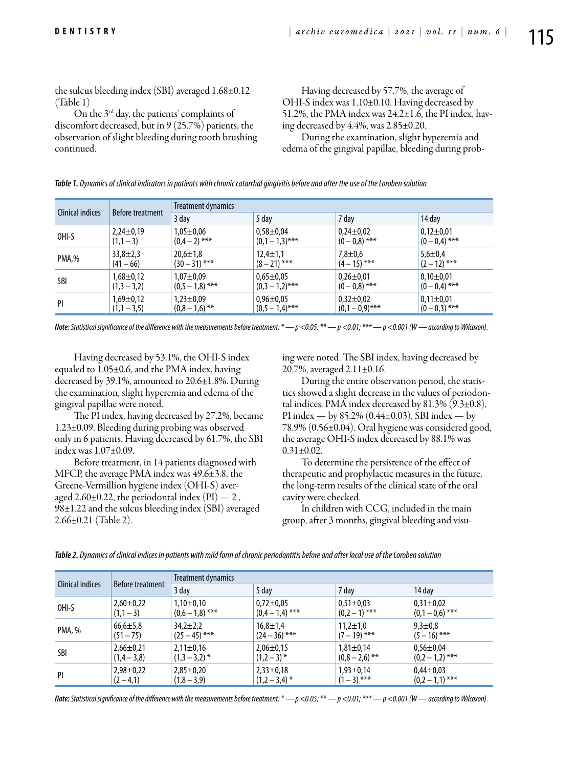the sulcus bleeding index (SBI) averaged 1.68±0.12 (Table 1)

On the 3rd day, the patients' complaints of discomfort decreased, but in 9 (25.7%) patients, the observation of slight bleeding during tooth brushing continued.

Having decreased by 57.7%, the average of OHI-S index was 1.10±0.10. Having decreased by 51.2%, the PMA index was  $24.2 \pm 1.\overline{6}$ , the PI index, having decreased by 4.4%, was 2.85±0.20. During the examination, slight hyperemia and

edema of the gingival papillae, bleeding during prob-

*Table 1. Dynamics of clinical indicators in patients with chronic catarrhal gingivitis before and after the use of the Loroben solution*

| Clinical indices | <b>Before treatment</b> | Treatment dynamics |                   |                 |                 |  |
|------------------|-------------------------|--------------------|-------------------|-----------------|-----------------|--|
|                  |                         | 3 day              | 5 day             | 7 day           | 14 day          |  |
| OHI-S            | $2,24\pm0,19$           | $1.05 + 0.06$      | $0,58 \pm 0,04$   | $0,24\pm0.02$   | $0.12 \pm 0.01$ |  |
|                  | $(1,1-3)$               | $(0,4-2)$ ***      | $(0,1-1,3)$ ***   | $(0-0.8)$ ***   | $(0 - 0.4)$ *** |  |
| PMA,%            | $33,8 \pm 2,3$          | $20,6 \pm 1,8$     | $12.4 \pm 1.1$    | $7,8 + 0,6$     | $5,6 \pm 0.4$   |  |
|                  | $(41 - 66)$             | $(30 - 31)$ ***    | $(8 - 21)$ ***    | $(4-15)$ ***    | $(2 - 12)$ ***  |  |
| SBI              | $1,68 \pm 0,12$         | $1,07 + 0,09$      | $0.65 \pm 0.05$   | $0,26 \pm 0.01$ | $0,10\pm0.01$   |  |
|                  | $(1,3 - 3,2)$           | $(0.5 - 1.8)$ ***  | $(0,3 - 1,2)$ *** | $(0 - 0.8)$ *** | $(0 - 0.4)$ *** |  |
| PI               | $1,69 \pm 0,12$         | $1.23 \pm 0.09$    | $0,96 \pm 0,05$   | $0,32\pm0.02$   | $0,11\pm0.01$   |  |
|                  | $(1,1 - 3,5)$           | $(0,8 - 1,6)$ **   | $(0,5 - 1,4)$ *** | $(0,1-0,9)$ *** | $(0-0,3)$ ***   |  |

*Note: Statistical significance of the difference with the measurements before treatment: \* — p <0.05; \*\* — p <0.01; \*\*\* — p <0.001 (W — according to Wilcoxon).*

Having decreased by 53.1%, the OHI-S index equaled to 1.05±0.6, and the PMA index, having decreased by 39.1%, amounted to 20.6±1.8%. During the examination, slight hyperemia and edema of the gingival papillae were noted.

The PI index, having decreased by 27.2%, became 1.23±0.09. Bleeding during probing was observed only in 6 patients. Having decreased by 61.7%, the SBI index was 1.07±0.09.

Before treatment, in 14 patients diagnosed with MFCP, the average PMA index was 49.6±3.8, the Greene-Vermillion hygiene index (OHI-S) averaged 2.60 $\pm$ 0.22, the periodontal index (PI)  $-2$ , 98±1.22 and the sulcus bleeding index (SBI) averaged 2.66±0.21 (Table 2).

ing were noted. The SBI index, having decreased by 20.7%, averaged 2.11±0.16.

During the entire observation period, the statistics showed a slight decrease in the values of periodontal indices. PMA index decreased by  $81.3\%$  (9.3 $\pm$ 0.8), PI index — by 85.2% (0.44 $\pm$ 0.03), SBI index — by 78.9% (0.56±0.04). Oral hygiene was considered good, the average OHI-S index decreased by 88.1% was  $0.31 \pm 0.02$ .

To determine the persistence of the effect of therapeutic and prophylactic measures in the future, the long-term results of the clinical state of the oral cavity were checked.

In children with CCG, included in the main group, after 3 months, gingival bleeding and visu-

| <b>Clinical indices</b> | <b>Before treatment</b> | Treatment dynamics |                 |                  |                   |  |
|-------------------------|-------------------------|--------------------|-----------------|------------------|-------------------|--|
|                         |                         | 3 day              | 5 day           | 7 day            | 14 day            |  |
| OHI-S                   | $2,60\pm0.22$           | $1,10\pm0,10$      | $0,72 \pm 0.05$ | $0,51 \pm 0.03$  | $0,31\pm0,02$     |  |
|                         | $(1,1-3)$               | $(0,6 - 1,8)$ ***  | $(0,4-1,4)$ *** | $(0,2-1)$ ***    | $(0,1-0,6)$ ***   |  |
| PMA, %                  | $66,6 \pm 5,8$          | $34,2 \pm 2,2$     | $16,8 \pm 1,4$  | $11,2 \pm 1,0$   | $9,3 \pm 0,8$     |  |
|                         | $(51 - 75)$             | $(25 - 45)$ ***    | $(24-36)$ ***   | $(7-19)$ ***     | $(5 - 16)$ ***    |  |
| SBI                     | $2,66 \pm 0,21$         | $2,11\pm0,16$      | $2,06 \pm 0,15$ | $1,81 \pm 0,14$  | $0.56 \pm 0.04$   |  |
|                         | $(1,4 - 3,8)$           | $(1,3 - 3,2)$ *    | $(1,2-3)$ *     | $(0,8 - 2,6)$ ** | $(0,2 - 1,2)$ *** |  |
| PI                      | $2,98 \pm 0,22$         | $2,85 \pm 0,20$    | $2,33\pm0,18$   | $1,93 \pm 0,14$  | $0.44 \pm 0.03$   |  |
|                         | $(2 - 4, 1)$            | $(1,8 - 3,9)$      | $(1,2-3,4)$ *   | $(1-3)$ ***      | $(0,2-1,1)$ ***   |  |

*Table 2. Dynamics of clinical indices in patients with mild form of chronic periodontitis before and after local use of the Loroben solution*

*Note: Statistical significance of the difference with the measurements before treatment: \* — p <0.05; \*\* — p <0.01; \*\*\* — p <0.001 (W — according to Wilcoxon).*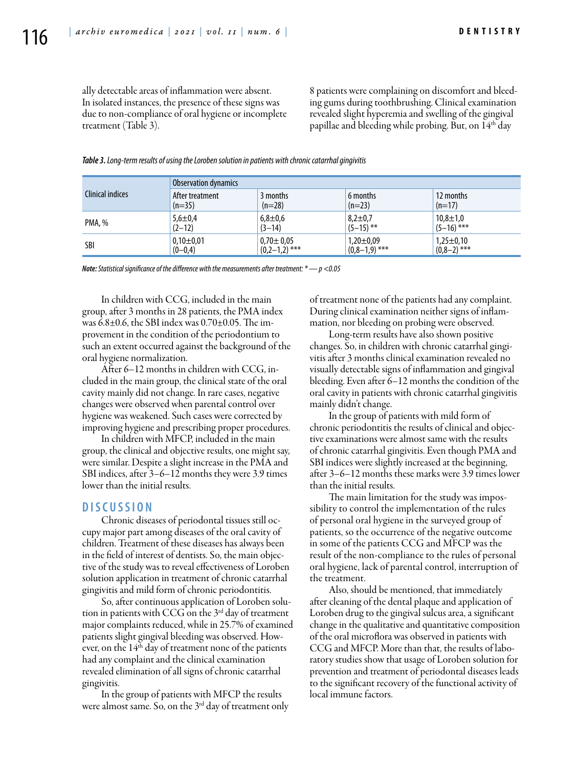ally detectable areas of inflammation were absent. In isolated instances, the presence of these signs was due to non-compliance of oral hygiene or incomplete treatment (Table 3).

8 patients were complaining on discomfort and bleeding gums during toothbrushing. Clinical examination revealed slight hyperemia and swelling of the gingival papillae and bleeding while probing. But, on  $14<sup>th</sup>$  day

|                  | Observation dynamics |                 |                 |                 |  |
|------------------|----------------------|-----------------|-----------------|-----------------|--|
| Clinical indices | After treatment      | 3 months        | 6 months        | 12 months       |  |
|                  | $(n=35)$             | $(n=28)$        | $(n=23)$        | $(n=17)$        |  |
| PMA, %           | $5,6 \pm 0,4$        | $6,8 \pm 0,6$   | $8,2 \pm 0,7$   | $10,8 \pm 1,0$  |  |
|                  | $(2-12)$             | $(3-14)$        | $(5-15)$ **     | $(5-16)$ ***    |  |
| <b>SBI</b>       | $0,10\pm0,01$        | $0.70 \pm 0.05$ | $1,20\pm0.09$   | $1,25 \pm 0,10$ |  |
|                  | $(0-0,4)$            | $(0,2-1,2)$ *** | $(0,8-1,9)$ *** | $(0,8-2)$ ***   |  |

*Table 3. Long-term results of using the Loroben solution in patients with chronic catarrhal gingivitis*

*Note: Statistical significance of the difference with the measurements after treatment: \* — p <0.05*

In children with CCG, included in the main group, after 3 months in 28 patients, the PMA index was 6.8±0.6, the SBI index was 0.70±0.05. The improvement in the condition of the periodontium to such an extent occurred against the background of the oral hygiene normalization.

After 6–12 months in children with CCG, included in the main group, the clinical state of the oral cavity mainly did not change. In rare cases, negative changes were observed when parental control over hygiene was weakened. Such cases were corrected by improving hygiene and prescribing proper procedures.

In children with MFCP, included in the main group, the clinical and objective results, one might say, were similar. Despite a slight increase in the PMA and SBI indices, after 3–6–12 months they were 3.9 times lower than the initial results.

#### **DISC U SSION**

Chronic diseases of periodontal tissues still occupy major part among diseases of the oral cavity of children. Treatment of these diseases has always been in the field of interest of dentists. So, the main objective of the study was to reveal effectiveness of Loroben solution application in treatment of chronic catarrhal gingivitis and mild form of chronic periodontitis.

So, after continuous application of Loroben solution in patients with CCG on the  $3<sup>rd</sup>$  day of treatment major complaints reduced, while in 25.7% of examined patients slight gingival bleeding was observed. However, on the  $14<sup>th</sup>$  day of treatment none of the patients had any complaint and the clinical examination revealed elimination of all signs of chronic catarrhal gingivitis.

In the group of patients with MFCP the results were almost same. So, on the 3<sup>rd</sup> day of treatment only of treatment none of the patients had any complaint. During clinical examination neither signs of inflammation, nor bleeding on probing were observed.

Long-term results have also shown positive changes. So, in children with chronic catarrhal gingivitis after 3 months clinical examination revealed no visually detectable signs of inflammation and gingival bleeding. Even after 6–12 months the condition of the oral cavity in patients with chronic catarrhal gingivitis mainly didn't change.

In the group of patients with mild form of chronic periodontitis the results of clinical and objective examinations were almost same with the results of chronic catarrhal gingivitis. Even though PMA and SBI indices were slightly increased at the beginning, after 3–6–12 months these marks were 3.9 times lower than the initial results.

The main limitation for the study was impossibility to control the implementation of the rules of personal oral hygiene in the surveyed group of patients, so the occurrence of the negative outcome in some of the patients CCG and MFCP was the result of the non-compliance to the rules of personal oral hygiene, lack of parental control, interruption of the treatment.

Also, should be mentioned, that immediately after cleaning of the dental plaque and application of Loroben drug to the gingival sulcus area, a significant change in the qualitative and quantitative composition of the oral microflora was observed in patients with CCG and MFCP. More than that, the results of laboratory studies show that usage of Loroben solution for prevention and treatment of periodontal diseases leads to the significant recovery of the functional activity of local immune factors.